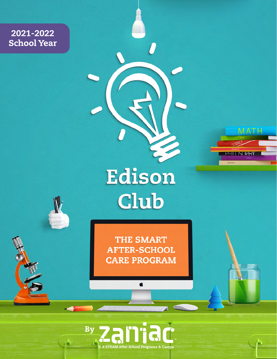2021-2022 School Year

# Edison Club

**MATH** 

n

CCIENCE

**BIOLOGY** 

PHILOSOPHY

**THE SMART AFTER-SCHOOL CARE PROGRAM** 

Ć

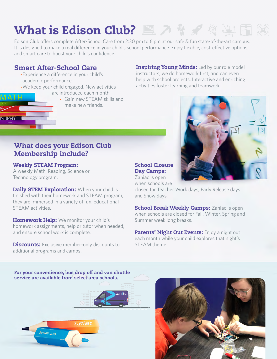# What is Edison Club?

Edison Club offers complete After-School Care from 2:30 pm to 6 pm at our safe & fun state-of-the-art campus. It is designed to make a real difference in your child's school performance. Enjoy flexible, cost-effective options, and smart care to boost your child's confidence.

# Smart After-School Care

- •Experience a difference in your child's academic performance.
- •We keep your child engaged. New activities are introduced each month.
	- Gain new STEAM skills and make new friends.

**Inspiring Young Minds:** Led by our role model instructors, we do homework first, and can even help with school projects. Interactive and enriching activities foster learning and teamwork.



# What does your Edison Club Membership include?

### Weekly STEAM Program:

**IN IPHY** 

A weekly Math, Reading, Science or Technology program.

Daily STEM Exploration: When your child is finished with their homework and STEAM program, they are immersed in a variety of fun, educational STEAM activities.

Homework Help: We monitor your child's homework assignments, help or tutor when needed, and ensure school work is complete.

**Discounts:** Exclusive member-only discounts to additional programs and camps.

### School Closure Day Camps:

Zaniac is open when schools are

closed for Teacher Work days, Early Release days and Snow days.

**School Break Weekly Camps: Zaniac is open** when schools are closed for Fall, Winter, Spring and Summer week long breaks.

Parents' Night Out Events: Enjoy a night out each month while your child explores that night's STEAM theme!

For your convenience, bus drop off and van shuttle service are available from select area schools.



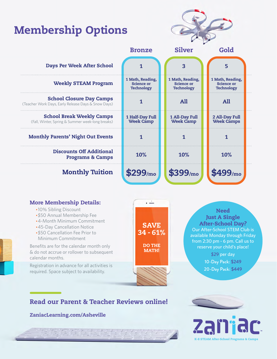# Membership Options



| <b>Days Per Week After School</b>                                                      |                                                            | 3                                                          | 5                                                          |  |
|----------------------------------------------------------------------------------------|------------------------------------------------------------|------------------------------------------------------------|------------------------------------------------------------|--|
| <b>Weekly STEAM Program</b>                                                            | 1 Math, Reading,<br><b>Science or</b><br><b>Technology</b> | 1 Math, Reading,<br><b>Science or</b><br><b>Technology</b> | 1 Math, Reading,<br><b>Science or</b><br><b>Technology</b> |  |
| <b>School Closure Day Camps</b><br>(Teacher Work Days, Early Release Days & Snow Days) |                                                            | <b>All</b>                                                 | All                                                        |  |
| <b>School Break Weekly Camps</b><br>(Fall, Winter, Spring & Summer week-long breaks)   | 1 Half-Day Full<br><b>Week Camp</b>                        | 1 All-Day Full<br><b>Week Camp</b>                         | 2 All-Day Full<br><b>Week Camps</b>                        |  |
| <b>Monthly Parents' Night Out Events</b>                                               |                                                            |                                                            |                                                            |  |
| <b>Discounts Off Additional</b><br><b>Programs &amp; Camps</b>                         | 10%                                                        | 10%                                                        | 10%                                                        |  |
| <b>Monthly Tuition</b>                                                                 | \$299/m <sub>o</sub>                                       | \$399/m <sub>o</sub>                                       | \$499/m <sub>o</sub>                                       |  |

Bronze

#### More Membership Details:

- •10% Sibling Discount
- •\$50 Annual Membership Fee
- •4-Month Minimum Commitment
- •45-Day Cancellation Notice
- •\$50 Cancellation Fee Prior to Minimum Commitment

Benefits are for the calendar month only & do not accrue or rollover to subsequent calendar months.

Registration in advance for all activities is required. Space subject to availability.



#### Need Just A Single After-School Day? Our After-School STEM Club is

available Monday through Friday from 2:30 pm - 6 pm. Call us to reserve your child's place!

> \$29 per day 10-Day Pack: \$249 20-Day Pack: \$449

# Read our Parent & Teacher Reviews online!

#### ZaniacLearning.com/Asheville